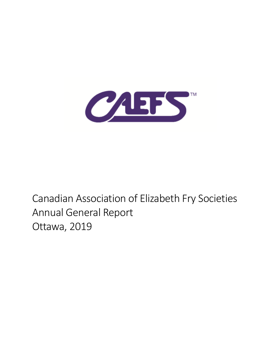

# Canadian Association of Elizabeth Fry Societies Annual General Report Ottawa, 2019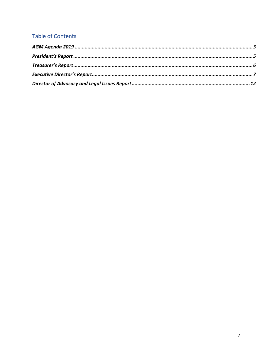### **Table of Contents**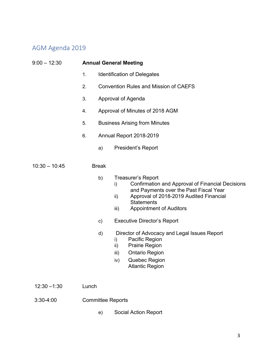# AGM Agenda 2019

| $9:00 - 12:30$  | <b>Annual General Meeting</b> |                                                                                                                                                                                                                                                       |  |  |
|-----------------|-------------------------------|-------------------------------------------------------------------------------------------------------------------------------------------------------------------------------------------------------------------------------------------------------|--|--|
|                 | 1.                            | <b>Identification of Delegates</b>                                                                                                                                                                                                                    |  |  |
|                 | 2.                            | <b>Convention Rules and Mission of CAEFS</b>                                                                                                                                                                                                          |  |  |
|                 | 3.                            | Approval of Agenda                                                                                                                                                                                                                                    |  |  |
|                 | 4.                            | Approval of Minutes of 2018 AGM                                                                                                                                                                                                                       |  |  |
|                 | 5.                            | <b>Business Arising from Minutes</b>                                                                                                                                                                                                                  |  |  |
|                 | 6.                            | Annual Report 2018-2019                                                                                                                                                                                                                               |  |  |
|                 | a)                            | President's Report                                                                                                                                                                                                                                    |  |  |
| $10:30 - 10:45$ | <b>Break</b>                  |                                                                                                                                                                                                                                                       |  |  |
|                 | b)                            | <b>Treasurer's Report</b><br><b>Confirmation and Approval of Financial Decisions</b><br>i)<br>and Payments over the Past Fiscal Year<br>Approval of 2018-2019 Audited Financial<br>ii)<br><b>Statements</b><br><b>Appointment of Auditors</b><br>iii) |  |  |
|                 | c)                            | <b>Executive Director's Report</b>                                                                                                                                                                                                                    |  |  |
|                 | d)                            | Director of Advocacy and Legal Issues Report<br>Pacific Region<br>i)<br><b>Prairie Region</b><br>ii)<br><b>Ontario Region</b><br>iii)<br>iv)<br>Quebec Region<br><b>Atlantic Region</b>                                                               |  |  |
| $12:30 - 1:30$  | Lunch                         |                                                                                                                                                                                                                                                       |  |  |
| $3:30-4:00$     | <b>Committee Reports</b>      |                                                                                                                                                                                                                                                       |  |  |

e) Social Action Report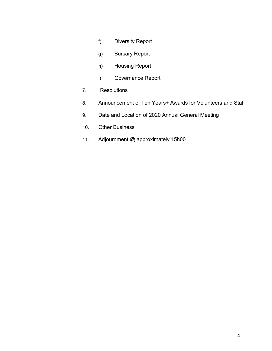- f) Diversity Report
- g) Bursary Report
- h) Housing Report
- i) Governance Report
- 7. Resolutions
- 8. Announcement of Ten Years+ Awards for Volunteers and Staff
- 9. Date and Location of 2020 Annual General Meeting
- 10. Other Business
- 11. Adjournment @ approximately 15h00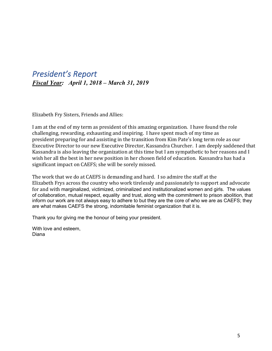### *President's Report Fiscal Year: April 1, 2018 – March 31, 2019*

Elizabeth Fry Sisters, Friends and Allies:

I am at the end of my term as president of this amazing organization. I have found the role challenging, rewarding, exhausting and inspiring. I have spent much of my time as president preparing for and assisting in the transition from Kim Pate's long term role as our Executive Director to our new Executive Director, Kassandra Churcher. I am deeply saddened that Kassandra is also leaving the organization at this time but I am sympathetic to her reasons and I wish her all the best in her new position in her chosen field of education. Kassandra has had a significant impact on CAEFS; she will be sorely missed.

The work that we do at CAEFS is demanding and hard. I so admire the staff at the Elizabeth Frys across the country who work tirelessly and passionately to support and advocate for and with marginalized, victimized, criminalized and institutionalized women and girls. The values of collaboration, mutual respect, equality and trust, along with the commitment to prison abolition, that inform our work are not always easy to adhere to but they are the core of who we are as CAEFS; they are what makes CAEFS the strong, indomitable feminist organization that it is.

Thank you for giving me the honour of being your president.

With love and esteem, Diana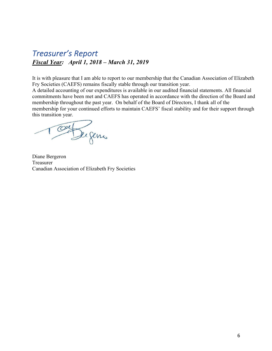## *Treasurer's Report Fiscal Year: April 1, 2018 – March 31, 2019*

It is with pleasure that I am able to report to our membership that the Canadian Association of Elizabeth Fry Societies (CAEFS) remains fiscally stable through our transition year.

A detailed accounting of our expenditures is available in our audited financial statements. All financial commitments have been met and CAEFS has operated in accordance with the direction of the Board and membership throughout the past year. On behalf of the Board of Directors, I thank all of the membership for your continued efforts to maintain CAEFS' fiscal stability and for their support through this transition year.

Tout Sugar

Diane Bergeron Treasurer Canadian Association of Elizabeth Fry Societies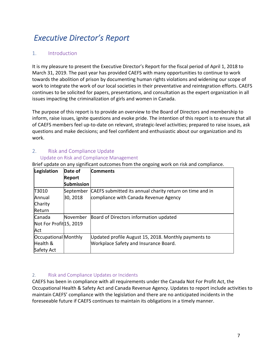# *Executive Director's Report*

#### 1. Introduction

It is my pleasure to present the Executive Director's Report for the fiscal period of April 1, 2018 to March 31, 2019. The past year has provided CAEFS with many opportunities to continue to work towards the abolition of prison by documenting human rights violations and widening our scope of work to integrate the work of our local societies in their preventative and reintegration efforts. CAEFS continues to be solicited for papers, presentations, and consultation as the expert organization in all issues impacting the criminalization of girls and women in Canada.

The purpose of this report is to provide an overview to the Board of Directors and membership to inform, raise issues, ignite questions and evoke pride. The intention of this report is to ensure that all of CAEFS members feel up-to-date on relevant, strategic-level activities; prepared to raise issues, ask questions and make decisions; and feel confident and enthusiastic about our organization and its work.

#### 2. Risk and Compliance Update

#### Update on Risk and Compliance Management

Brief update on any significant outcomes from the ongoing work on risk and compliance.

| Legislation                         | Date of           | <b>Comments</b>                                          |
|-------------------------------------|-------------------|----------------------------------------------------------|
|                                     | <b>Report</b>     |                                                          |
|                                     | <b>Submission</b> |                                                          |
| T3010                               | September         | CAEFS submitted its annual charity return on time and in |
| Annual                              | 30, 2018          | compliance with Canada Revenue Agency                    |
| Charity                             |                   |                                                          |
| Return                              |                   |                                                          |
| Canada                              | November          | Board of Directors information updated                   |
| Not For Profit <sup>15</sup> , 2019 |                   |                                                          |
| Act                                 |                   |                                                          |
| Occupational Monthly                |                   | Updated profile August 15, 2018. Monthly payments to     |
| Health &                            |                   | <b>Workplace Safety and Insurance Board.</b>             |
| Safety Act                          |                   |                                                          |

#### 2. Risk and Compliance Updates or Incidents

CAEFS has been in compliance with all requirements under the Canada Not For Profit Act, the Occupational Health & Safety Act and Canada Revenue Agency. Updates to report include activities to maintain CAEFS' compliance with the legislation and there are no anticipated incidents in the foreseeable future if CAEFS continues to maintain its obligations in a timely manner.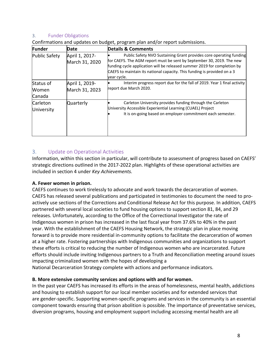#### 3. Funder Obligations

| Funder                        | Date                             | <b>Details &amp; Comments</b>                                                                                                                                                                                                                                                                                      |
|-------------------------------|----------------------------------|--------------------------------------------------------------------------------------------------------------------------------------------------------------------------------------------------------------------------------------------------------------------------------------------------------------------|
| <b>Public Safety</b>          | April 1, 2017-<br>March 31, 2020 | Public Safety NVO Sustaining Grant provides core operating funding<br>for CAEFS. The AGM report must be sent by September 30, 2019. The new<br>funding cycle application will be released summer 2019 for completion by<br>CAEFS to maintain its national capacity. This funding is provided on a 3<br>vear cycle. |
| Status of<br>Women<br>Canada  | April 1, 2019-<br>March 31, 2023 | Interim progress report due for the fall of 2019. Year 1 final activity<br>report due March 2020.                                                                                                                                                                                                                  |
| <b>Carleton</b><br>University | <b>Quarterly</b>                 | Carleton University provides funding through the Carleton<br>University Accessible Experiential Learning (CUAEL) Project<br>It is on-going based on employer commitment each semester.                                                                                                                             |

Confirmations and updates on budget, program plan and/or report submissions.

#### 3. Update on Operational Activities

Information, within this section in particular, will contribute to assessment of progress based on CAEFS' strategic directions outlined in the 2017-2022 plan. Highlights of these operational activities are included in section 4 under *Key Achievements.*

#### **A. Fewer women in prison.**

CAEFS continues to work tirelessly to advocate and work towards the decarceration of women. CAEFS has released several publications and participated in testimonies to document the need to proactively use sections of the Corrections and Conditional Release Act for this purpose. In addition, CAEFS partnered with several local societies to fund housing options to support section 81, 84, and 29 releases. Unfortunately, according to the Office of the Correctional Investigator the rate of Indigenous women in prison has increased in the last fiscal year from 37.6% to 40% in the past year. With the establishment of the CAEFS Housing Network, the strategic plan in place moving forward is to provide more residential in-community options to facilitate the decarceration of women at a higher rate. Fostering partnerships with Indigenous communities and organizations to support these efforts is critical to reducing the number of Indigenous women who are incarcerated. Future efforts should include inviting Indigenous partners to a Truth and Reconciliation meeting around issues impacting criminalized women with the hopes of developing a

National Decarceration Strategy complete with actions and performance indicators.

#### **B. More extensive community services and options with and for women.**

In the past year CAEFS has increased its efforts in the areas of homelessness, mental health, addictions and housing to establish support for our local member societies and for extended services that are gender-specific. Supporting women-specific programs and services in the community is an essential component towards ensuring that prison abolition is possible. The importance of preventative services, diversion programs, housing and employment support including accessing mental health are all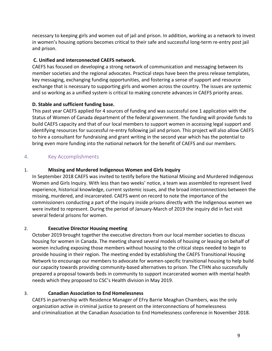necessary to keeping girls and women out of jail and prison. In addition, working as a network to invest in women's housing options becomes critical to their safe and successful long-term re-entry post jail and prison.

#### **C. Unified and interconnected CAEFS network.**

CAEFS has focused on developing a strong network of communication and messaging between its member societies and the regional advocates. Practical steps have been the press release templates, key messaging, exchanging funding opportunities, and fostering a sense of support and resource exchange that is necessary to supporting girls and women across the country. The issues are systemic and so working as a unified system is critical to making concrete advances in CAEFS priority areas.

#### **D. Stable and sufficient funding base.**

This past year CAEFS applied for 4 sources of funding and was successful one 1 application with the Status of Women of Canada department of the federal government. The funding will provide funds to build CAEFS capacity and that of our local members to support women in accessing legal support and identifying resources for successful re-entry following jail and prison. This project will also allow CAEFS to hire a consultant for fundraising and grant writing in the second year which has the potential to bring even more funding into the national network for the benefit of CAEFS and our members.

#### 4. Key Accomplishments

#### 1. **Missing and Murdered Indigenous Women and Girls Inquiry**

In September 2018 CAEFS was invited to testify before the National Missing and Murdered Indigenous Women and Girls Inquiry. With less than two weeks' notice, a team was assembled to represent lived experience, historical knowledge, current systemic issues, and the broad interconnections between the missing, murdered, and incarcerated. CAEFS went on record to note the importance of the commissioners conducting a part of the inquiry inside prisons directly with the Indigenous women we were invited to represent. During the period of January-March of 2019 the inquiry did in fact visit several federal prisons for women.

#### 2. **Executive Director Housing meeting**

October 2019 brought together the executive directors from our local member societies to discuss housing for women in Canada. The meeting shared several models of housing or leasing on behalf of women including exposing those members without housing to the critical steps needed to begin to provide housing in their region. The meeting ended by establishing the CAEFS Transitional Housing Network to encourage our members to advocate for women-specific transitional housing to help build our capacity towards providing community-based alternatives to prison. The CTHN also successfully prepared a proposal towards beds in community to support incarcerated women with mental health needs which they proposed to CSC's Health division in May 2019.

#### 3. **Canadian Association to End Homelessness**

CAEFS in partnership with Residence Manager of EFry Barrie Meaghan Chambers, was the only organization active in criminal justice to present on the interconnections of homelessness and criminalization at the Canadian Association to End Homelessness conference in November 2018.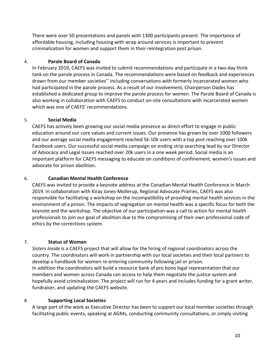There were over 50 presentations and panels with 1300 participants present. The importance of affordable housing, including housing with wrap around services is important to prevent criminalization for women and support them in their reintegration post prison.

#### 4. **Parole Board of Canada**

In February 2019, CAEFS was invited to submit recommendations and participate in a two-day think tank on the parole process in Canada. The recommendations were based on feedback and experiences drawn from our member societies'' including conversations with formerly incarcerated women who had participated in the parole process. As a result of our involvement, Chairperson Oades has established a dedicated group to improve the parole process for women. The Parole Board of Canada is also working in collaboration with CAEFS to conduct on-site consultations with incarcerated women which was one of CAEFS' recommendations.

#### 5. **Social Media**

CAEFS has actively been growing our social media presence as direct effort to engage in public education around our core values and current issues. Our presence has grown by over 1000 followers and our average social media engagement reached 5k-10k users with a top post reaching over 100k Facebook users. Our successful social media campaign on ending strip searching lead by our Director of Advocacy and Legal Issues reached over 20k users in a one week period. Social media is an important platform for CAEFS messaging to educate on conditions of confinement, women's issues and advocate for prison abolition.

#### 6. **Canadian Mental Health Conference**

CAEFS was invited to provide a keynote address at the Canadian Mental Health Conference in March 2019. In collaboration with Kiray Jones-Mollerup, Regional Advocate Prairies, CAEFS was also responsible for facilitating a workshop on the incompatibility of providing mental health services in the environment of a prison. The impacts of segregation on mental health was a specific focus for both the keynote and the workshop. The objective of our participation was a call to action for mental health professionals to join our goal of abolition due to the compromising of their own professional code of ethics by the corrections system.

#### 7. **Status of Women**

*Sisters Inside* is a CAEFS project that will allow for the hiring of regional coordinators across the country. The coordinators will work in partnership with our local societies and their local partners to develop a handbook for women re-entering community following jail or prison. In addition the coordinators will build a resource bank of pro bono legal representation that our members and women across Canada can access to help them negotiate the justice system and hopefully avoid criminalization. The project will run for 4 years and includes funding for a grant writer, fundraiser, and updating the CAEFS website.

#### 8. **Supporting Local Societies**

A large part of the work as Executive Director has been to support our local member societies through facilitating public events, speaking at AGMs, conducting community consultations, or simply visiting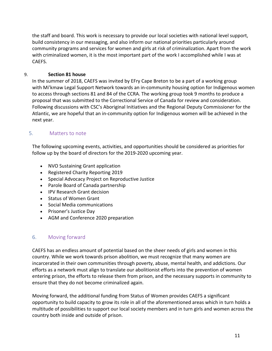the staff and board. This work is necessary to provide our local societies with national level support, build consistency in our messaging, and also inform our national priorities particularly around community programs and services for women and girls at risk of criminalization. Apart from the work with criminalized women, it is the most important part of the work I accomplished while I was at CAEFS.

#### 9. **Section 81 house**

In the summer of 2018, CAEFS was invited by EFry Cape Breton to be a part of a working group with Mi'kmaw Legal Support Network towards an in-community housing option for Indigenous women to access through sections 81 and 84 of the CCRA. The working group took 9 months to produce a proposal that was submitted to the Correctional Service of Canada for review and consideration. Following discussions with CSC's Aboriginal Initiatives and the Regional Deputy Commissioner for the Atlantic, we are hopeful that an in-community option for Indigenous women will be achieved in the next year.

#### 5. Matters to note

The following upcoming events, activities, and opportunities should be considered as priorities for follow up by the board of directors for the 2019-2020 upcoming year.

- NVO Sustaining Grant application
- Registered Charity Reporting 2019
- Special Advocacy Project on Reproductive Justice
- Parole Board of Canada partnership
- IPV Research Grant decision
- Status of Women Grant
- Social Media communications
- Prisoner's Justice Day
- AGM and Conference 2020 preparation

#### 6. Moving forward

CAEFS has an endless amount of potential based on the sheer needs of girls and women in this country. While we work towards prison abolition, we must recognize that many women are incarcerated in their own communities through poverty, abuse, mental health, and addictions. Our efforts as a network must align to translate our abolitionist efforts into the prevention of women entering prison, the efforts to release them from prison, and the necessary supports in community to ensure that they do not become criminalized again.

Moving forward, the additional funding from Status of Women provides CAEFS a significant opportunity to build capacity to grow its role in all of the aforementioned areas which in turn holds a multitude of possibilities to support our local society members and in turn girls and women across the country both inside and outside of prison.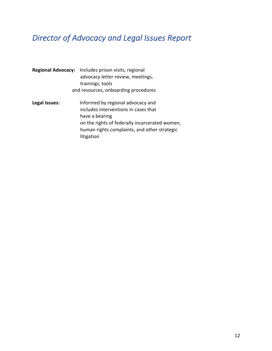# *Director of Advocacy and Legal Issues Report*

|                                      | <b>Regional Advocacy:</b> Includes prison visits, regional<br>advocacy letter review, meetings,<br>trainings, tools                                                                                         |  |  |
|--------------------------------------|-------------------------------------------------------------------------------------------------------------------------------------------------------------------------------------------------------------|--|--|
| and resources, onboarding procedures |                                                                                                                                                                                                             |  |  |
| Legal Issues:                        | Informed by regional advocacy and<br>includes interventions in cases that<br>have a bearing<br>on the rights of federally incarcerated women,<br>human rights complaints, and other strategic<br>litigation |  |  |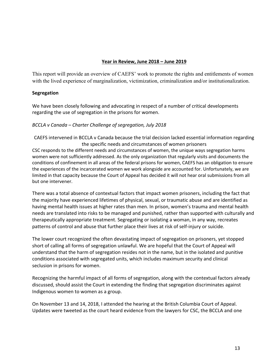#### **Year in Review, June 2018 – June 2019**

This report will provide an overview of CAEFS' work to promote the rights and entitlements of women with the lived experience of marginalization, victimization, criminalization and/or institutionalization.

#### **Segregation**

We have been closely following and advocating in respect of a number of critical developments regarding the use of segregation in the prisons for women.

#### *BCCLA v Canada – Charter Challenge of segregation, July 2018*

CAEFS intervened in BCCLA v Canada because the trial decision lacked essential information regarding the specific needs and circumstances of women prisoners CSC responds to the different needs and circumstances of women, the unique ways segregation harms women were not sufficiently addressed. As the only organization that regularly visits and documents the conditions of confinement in all areas of the federal prisons for women, CAEFS has an obligation to ensure the experiences of the incarcerated women we work alongside are accounted for. Unfortunately, we are limited in that capacity because the Court of Appeal has decided it will not hear oral submissions from all but one intervener.

There was a total absence of contextual factors that impact women prisoners, including the fact that the majority have experienced lifetimes of physical, sexual, or traumatic abuse and are identified as having mental health issues at higher rates than men. In prison, women's trauma and mental health needs are translated into risks to be managed and punished, rather than supported with culturally and therapeutically appropriate treatment. Segregating or isolating a woman, in any way, recreates patterns of control and abuse that further place their lives at risk of self-injury or suicide.

The lower court recognized the often devastating impact of segregation on prisoners, yet stopped short of calling all forms of segregation unlawful. We are hopeful that the Court of Appeal will understand that the harm of segregation resides not in the name, but in the isolated and punitive conditions associated with segregated units, which includes maximum security and clinical seclusion in prisons for women.

Recognizing the harmful impact of all forms of segregation, along with the contextual factors already discussed, should assist the Court in extending the finding that segregation discriminates against Indigenous women to women as a group.

On November 13 and 14, 2018, I attended the hearing at the British Columbia Court of Appeal. Updates were tweeted as the court heard evidence from the lawyers for CSC, the BCCLA and one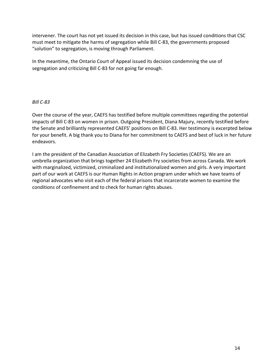intervener. The court has not yet issued its decision in this case, but has issued conditions that CSC must meet to mitigate the harms of segregation while Bill C-83, the governments proposed "solution" to segregation, is moving through Parliament.

In the meantime, the Ontario Court of Appeal issued its decision condemning the use of segregation and criticizing Bill C-83 for not going far enough.

#### *Bill C-83*

Over the course of the year, CAEFS has testified before multiple committees regarding the potential impacts of Bill C-83 on women in prison. Outgoing President, Diana Majury, recently testified before the Senate and brilliantly represented CAEFS' positions on Bill C-83. Her testimony is excerpted below for your benefit. A big thank you to Diana for her commitment to CAEFS and best of luck in her future endeavors.

I am the president of the Canadian Association of Elizabeth Fry Societies (CAEFS). We are an umbrella organization that brings together 24 Elizabeth Fry societies from across Canada. We work with marginalized, victimized, criminalized and institutionalized women and girls. A very important part of our work at CAEFS is our Human Rights in Action program under which we have teams of regional advocates who visit each of the federal prisons that incarcerate women to examine the conditions of confinement and to check for human rights abuses.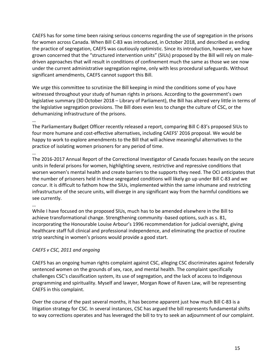CAEFS has for some time been raising serious concerns regarding the use of segregation in the prisons for women across Canada. When Bill C-83 was introduced, in October 2018, and described as ending the practice of segregation, CAEFS was cautiously optimistic. Since its introduction, however, we have grown concerned that the "structured intervention units" (SIUs) proposed by the Bill will rely on maledriven approaches that will result in conditions of confinement much the same as those we see now under the current administrative segregation regime, only with less procedural safeguards. Without significant amendments, CAEFS cannot support this Bill.

We urge this committee to scrutinize the Bill keeping in mind the conditions some of you have witnessed throughout your study of human rights in prisons. According to the government's own legislative summary (30 October 2018 – Library of Parliament), the Bill has altered very little in terms of the legislative segregation provisions. The Bill does even less to change the culture of CSC, or the dehumanizing infrastructure of the prisons.

#### …

The Parliamentary Budget Officer recently released a report, comparing Bill C-83's proposed SIUs to four more humane and cost-effective alternatives, including CAEFS' 2016 proposal. We would be happy to work to explore amendments to the Bill that will achieve meaningful alternatives to the practice of isolating women prisoners for any period of time.

#### …

The 2016-2017 Annual Report of the Correctional Investigator of Canada focuses heavily on the secure units in federal prisons for women, highlighting severe, restrictive and repressive conditions that worsen women's mental health and create barriers to the supports they need. The OCI anticipates that the number of prisoners held in these segregated conditions will likely go up under Bill C-83 and we concur. It is difficult to fathom how the SIUs, implemented within the same inhumane and restricting infrastructure of the secure units, will diverge in any significant way from the harmful conditions we see currently.

#### …

While I have focused on the proposed SIUs, much has to be amended elsewhere in the Bill to achieve transformational change. Strengthening community -based options, such as s. 81, incorporating the Honourable Louise Arbour's 1996 recommendation for judicial oversight, giving healthcare staff full clinical and professional independence, and eliminating the practice of routine strip searching in women's prisons would provide a good start.

### *CAEFS v CSC, 2011 and ongoing*

CAEFS has an ongoing human rights complaint against CSC, alleging CSC discriminates against federally sentenced women on the grounds of sex, race, and mental health. The complaint specifically challenges CSC's classification system, its use of segregation, and the lack of access to Indigenous programming and spirituality. Myself and lawyer, Morgan Rowe of Raven Law, will be representing CAEFS in this complaint.

Over the course of the past several months, it has become apparent just how much Bill C-83 is a litigation strategy for CSC. In several instances, CSC has argued the bill represents fundamental shifts to way corrections operates and has leveraged the bill to try to seek an adjournment of our complaint.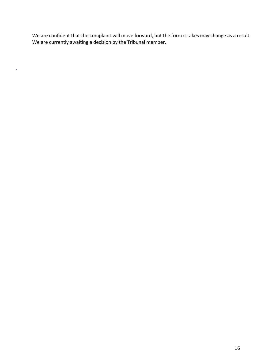We are confident that the complaint will move forward, but the form it takes may change as a result. We are currently awaiting a decision by the Tribunal member.

 $\hat{\mathbf{v}}$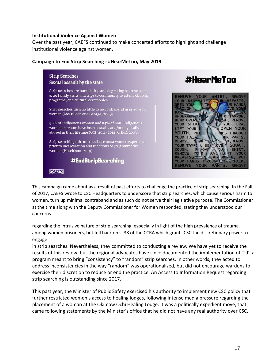#### **Institutional Violence Against Women**

Over the past year, CAEFS continued to make concerted efforts to highlight and challenge institutional violence against women.

#### **Campaign to End Strip Searching - #HearMeToo, May 2019**



This campaign came about as a result of past efforts to challenge the practice of strip searching. In the Fall of 2017, CAEFS wrote to CSC Headquarters to underscore that strip searches, which cause serious harm to women, turn up minimal contraband and as such do not serve their legislative purpose. The Commissioner at the time along with the Deputy Commissioner for Women responded, stating they understood our concerns

regarding the intrusive nature of strip searching, especially in light of the high prevalence of trauma among women prisoners, but fell back on s. 38 of the CCRA which grants CSC the discretionary power to engage

in strip searches. Nevertheless, they committed to conducting a review. We have yet to receive the results of this review, but the regional advocates have since documented the implementation of 'T9', a program meant to bring "consistency" to "random" strip searches. In other words, they acted to address inconsistencies in the way "random" was operationalized, but did not encourage wardens to exercise their discretion to reduce or end the practice. An Access to Information Request regarding strip searching is outstanding since 2017.

This past year, the Minister of Public Safety exercised his authority to implement new CSC policy that further restricted women's access to healing lodges, following intense media pressure regarding the placement of a woman at the Okimaw Ochi Healing Lodge. It was a politically expedient move, that came following statements by the Minister's office that he did not have any real authority over CSC.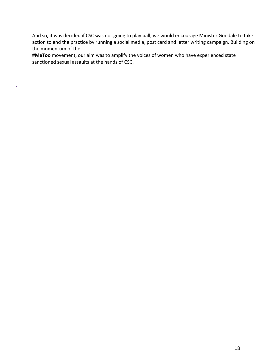And so, it was decided if CSC was not going to play ball, we would encourage Minister Goodale to take action to end the practice by running a social media, post card and letter writing campaign. Building on the momentum of the

**#MeToo** movement, our aim was to amplify the voices of women who have experienced state sanctioned sexual assaults at the hands of CSC.

 $\hat{\mathbf{r}}$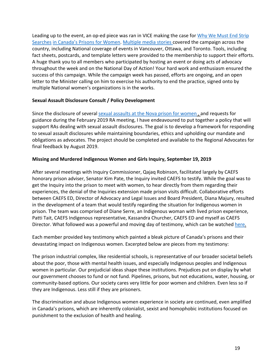Leading up to the event, an op-ed piece was ran in VICE making the case for Why We Must End Strip Searches in Canada's Prisons for Women. Multiple media stories covered the campaign across the country, including National coverage of events in Vancouver, Ottawa, and Toronto. Tools, including fact sheets, postcards, and template letters were provided to the membership to support their efforts. A huge thank you to all members who participated by hosting an event or doing acts of advocacy throughout the week and on the National Day of Action! Your hard work and enthusiasm ensured the success of this campaign. While the campaign week has passed, efforts are ongoing, and an open letter to the Minister calling on him to exercise his authority to end the practice, signed onto by multiple National women's organizations is in the works.

#### **Sexual Assault Disclosure Consult / Policy Development**

Since the disclosure of several sexual assaults at the Nova prison for women, and requests for guidance during the February 2019 RA meeting, I have endeavoured to put together a policy that will support RAs dealing with sexual assault disclosures. The goal is to develop a framework for responding to sexual assault disclosures while maintaining boundaries, ethics and upholding our mandate and obligations as advocates. The project should be completed and available to the Regional Advocates for final feedback by August 2019.

#### **Missing and Murdered Indigenous Women and Girls Inquiry, September 19, 2019**

After several meetings with Inquiry Commissioner, Qajaq Robinson, facilitated largely by CAEFS honorary prison adviser, Senator Kim Pate, the Inquiry invited CAEFS to testify. While the goal was to get the Inquiry into the prison to meet with women, to hear directly from them regarding their experiences, the denial of the Inquiries extension made prison visits difficult. Collaborative efforts between CAEFS ED, Director of Advocacy and Legal Issues and Board President, Diana Majury, resulted in the development of a team that would testify regarding the situation for Indigenous women in prison. The team was comprised of Diane Serre, an Indigenous woman with lived prison experience, Patti Tait, CAEFS Indigenous representative, Kassandra Churcher, CAEFS ED and myself as CAEFS Director. What followed was a powerful and moving day of testimony, which can be watched here.

Each member provided key testimony which painted a bleak picture of Canada's prisons and their devastating impact on Indigenous women. Excerpted below are pieces from my testimony:

The prison industrial complex, like residential schools, is representative of our broader societal beliefs about the poor, those with mental health issues, and especially Indigenous peoples and Indigenous women in particular. Our prejudicial ideas shape these institutions. Prejudices put on display by what our government chooses to fund or not fund. Pipelines, prisons, but not educations, water, housing, or community-based options. Our society cares very little for poor women and children. Even less so if they are Indigenous. Less still if they are prisoners.

The discrimination and abuse Indigenous women experience in society are continued, even amplified in Canada's prisons, which are inherently colonialist, sexist and homophobic institutions focused on punishment to the exclusion of health and healing.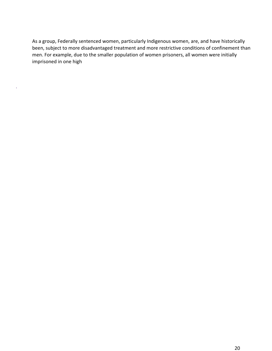As a group, Federally sentenced women, particularly Indigenous women, are, and have historically been, subject to more disadvantaged treatment and more restrictive conditions of confinement than men. For example, due to the smaller population of women prisoners, all women were initially imprisoned in one high

 $\hat{\boldsymbol{\theta}}$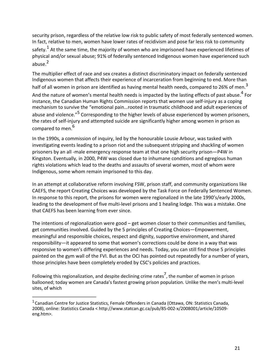security prison, regardless of the relative low risk to public safety of most federally sentenced women. In fact, relative to men, women have lower rates of recidivism and pose far less risk to community safety.<sup>1</sup> At the same time, the majority of women who are imprisoned have experienced lifetimes of physical and/or sexual abuse; 91% of federally sentenced Indigenous women have experienced such abuse.<sup>2</sup>

The multiplier effect of race and sex creates a distinct discriminatory impact on federally sentenced Indigenous women that affects their experience of incarceration from beginning to end. More than half of all women in prison are identified as having mental health needs, compared to 26% of men.<sup>3</sup> And the nature of women's mental health needs is impacted by the lasting effects of past abuse.<sup>4</sup> For instance, the Canadian Human Rights Commission reports that women use self-injury as a coping mechanism to survive the "emotional pain…rooted in traumatic childhood and adult experiences of abuse and violence."<sup>5</sup> Corresponding to the higher levels of abuse experienced by women prisoners, the rates of self-injury and attempted suicide are significantly higher among women in prison as compared to men.<sup>6</sup>

In the 1990s, a commission of inquiry, led by the honourable Lousie Arbour, was tasked with investigating events leading to a prison riot and the subsequent stripping and shackling of women prisoners by an all -male emergency response team at that one high security prison—P4W in Kingston. Eventually, in 2000, P4W was closed due to inhumane conditions and egregious human rights violations which lead to the deaths and assaults of several women, most of whom were Indigenous, some whom remain imprisoned to this day.

In an attempt at collaborative reform involving FSW, prison staff, and community organizations like CAEFS, the report Creating Choices was developed by the Task Force on Federally Sentenced Women. In response to this report, the prisons for women were regionalized in the late 1990's/early 2000s, leading to the development of five multi-level prisons and 1 healing lodge. This was a mistake. One that CAEFS has been learning from ever since.

The intentions of regionalization were good – get women closer to their communities and families, get communities involved. Guided by the 5 principles of Creating Choices—Empowerment, meaningful and responsible choices, respect and dignity, supportive environment, and shared responsibility—it appeared to some that women's corrections could be done in a way that was responsive to women's differing experiences and needs. Today, you can still find those 5 principles painted on the gym wall of the FVI. But as the OCI has pointed out repeatedly for a number of years, those principles have been completely eroded by CSC's policies and practices.

Following this regionalization, and despite declining crime rates<sup>7</sup>, the number of women in prison ballooned; today women are Canada's fastest growing prison population. Unlike the men's multi-level sites, of which

 $1$ Canadian Centre for Justice Statistics, Female Offenders in Canada (Ottawa, ON: Statistics Canada, 2008), online: Statistics Canada < http://www.statcan.gc.ca/pub/85-002-x/2008001/article/10509 eng.htm>.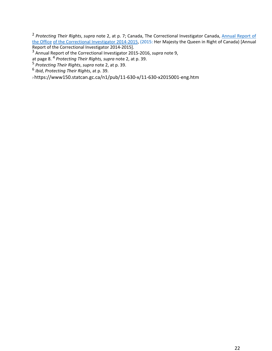<sup>2</sup> *Protecting Their Rights*, *supra* note 2, at p. 7; Canada, The Correctional Investigator Canada, Annual Report of the Office of the Correctional Investigator 2014-2015, (2015: Her Majesty the Queen in Right of Canada) [Annual Report of the Correctional Investigator 2014-2015].

<sup>3</sup> Annual Report of the Correctional Investigator 2015-2016, *supra* note 9,

at page 8. 4 *Protecting Their Rights, supra* note 2, at p. 39.

<sup>5</sup> *Protecting Their Rights*, *supra* note 2, at p. 39.

<sup>6</sup> *Ibid*, *Protecting Their Rights*, at p. 39.

7 https://www150.statcan.gc.ca/n1/pub/11-630-x/11-630-x2015001-eng.htm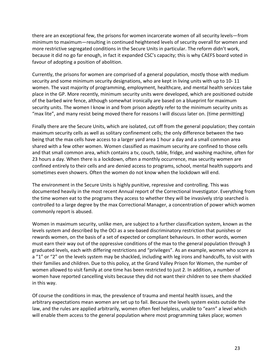there are an exceptional few, the prisons for women incarcerate women of all security levels—from minimum to maximum—resulting in continued heightened levels of security overall for women and more restrictive segregated conditions in the Secure Units in particular. The reform didn't work, because it did no go far enough, in fact it expanded CSC's capacity; this is why CAEFS board voted in favour of adopting a position of abolition.

Currently, the prisons for women are comprised of a general population, mostly those with medium security and some minimum security designations, who are kept in living units with up to 10- 11 women. The vast majority of programming, employment, healthcare, and mental health services take place in the GP. More recently, minimum security units were developed, which are positioned outside of the barbed wire fence, although somewhat ironically are based on a blueprint for maximum security units. The women I know in and from prison adeptly refer to the minimum security units as "max lite", and many resist being moved there for reasons I will discuss later on. (time permitting)

Finally there are the Secure Units, which are isolated, cut off from the general population; they contain maximum security cells as well as solitary confinement cells; the only difference between the two being that the max cells have access to a larger yard area 1 hour a day and a small common area shared with a few other women. Women classified as maximum security are confined to those cells and that small common area, which contains a tv, couch, table, fridge, and washing machine, often for 23 hours a day. When there is a lockdown, often a monthly occurrence, max security women are confined entirely to their cells and are denied access to programs, school, mental health supports and sometimes even showers. Often the women do not know when the lockdown will end.

The environment in the Secure Units is highly punitive, repressive and controlling. This was documented heavily in the most recent Annual report of the Correctional Investigator. Everything from the time women eat to the programs they access to whether they will be invasively strip searched is controlled to a large degree by the max Correctional Manager, a concentration of power which women commonly report is abused.

Women in maximum security, unlike men, are subject to a further classification system, known as the levels system and described by the OCI as a sex-based discriminatory restriction that punishes or rewards women, on the basis of a set of expected or compliant behaviours. In other words, women must earn their way out of the oppressive conditions of the max to the general population through 3 graduated levels, each with differing restrictions and "privileges". As an example, women who score as a "1" or "2" on the levels system may be shackled, including with leg irons and handcuffs, to visit with their families and children. Due to this policy, at the Grand Valley Prison for Women, the number of women allowed to visit family at one time has been restricted to just 2. In addition, a number of women have reported cancelling visits because they did not want their children to see them shackled in this way.

Of course the conditions in max, the prevalence of trauma and mental health issues, and the arbitrary expectations mean women are set up to fail. Because the levels system exists outside the law, and the rules are applied arbitrarily, women often feel helpless, unable to "earn" a level which will enable them access to the general population where most programming takes place; women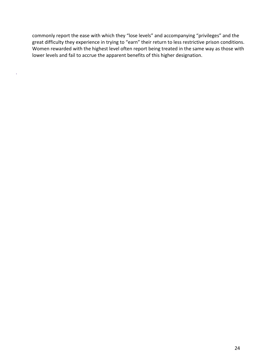commonly report the ease with which they "lose levels" and accompanying "privileges" and the great difficulty they experience in trying to "earn" their return to less restrictive prison conditions. Women rewarded with the highest level often report being treated in the same way as those with lower levels and fail to accrue the apparent benefits of this higher designation.

k,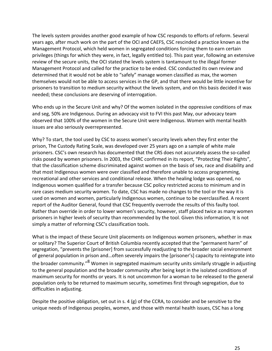The levels system provides another good example of how CSC responds to efforts of reform. Several years ago, after much work on the part of the OCI and CAEFS, CSC rescinded a practice known as the Management Protocol, which held women in segregated conditions forcing them to earn certain privileges (things for which they were, in fact, legally entitled to). This past year, following an extensive review of the secure units, the OCI stated the levels system is tantamount to the illegal former Management Protocol and called for the practice to be ended. CSC conducted its own review and determined that it would not be able to "safely" manage women classified as max, the women themselves would not be able to access services in the GP, and that there would be little incentive for prisoners to transition to medium security without the levels system, and on this basis decided it was needed; these conclusions are deserving of interrogation.

Who ends up in the Secure Unit and why? Of the women isolated in the oppressive conditions of max and seg, 50% are Indigenous. During an advocacy visit to FVI this past May, our advocacy team observed that 100% of the women in the Secure Unit were Indigenous. Women with mental health issues are also seriously overrepresented.

Why? To start, the tool used by CSC to assess women's security levels when they first enter the prison, The Custody Rating Scale, was developed over 25 years ago on a sample of white male prisoners. CSC's own research has documented that the CRS does not accurately assess the so-called risks posed by women prisoners. In 2003, the CHRC confirmed in its report, "Protecting Their Rights", that the classification scheme discriminated against women on the basis of sex, race and disability and that most Indigenous women were over classified and therefore unable to access programming, recreational and other services and conditional release. When the healing lodge was opened, no Indigenous women qualified for a transfer because CSC policy restricted access to minimum and in rare cases medium security women. To date, CSC has made no changes to the tool or the way it is used on women and women, particularly Indigenous women, continue to be overclassified. A recent report of the Auditor General, found that CSC frequently overrode the results of this faulty tool. Rather than override in order to lower women's security, however, staff placed twice as many women prisoners in higher levels of security than recommended by the tool. Given this information, It is not simply a matter of reforming CSC's classification tools.

What is the impact of these Secure Unit placements on Indigenous women prisoners, whether in max or solitary? The Superior Court of British Columbia recently accepted that the "permanent harm" of segregation, "prevents the [prisoner] from successfully readjusting to the broader social environment of general population in prison and…often severely impairs the [prisoner's] capacity to reintegrate into the broader community."<sup>8</sup> Women in segregated maximum security units similarly struggle in adjusting to the general population and the broader community after being kept in the isolated conditions of maximum security for months or years. It is not uncommon for a woman to be released to the general population only to be returned to maximum security, sometimes first through segregation, due to difficulties in adjusting.

Despite the positive obligation, set out in s. 4 (g) of the CCRA, to consider and be sensitive to the unique needs of Indigenous peoples, women, and those with mental health issues, CSC has a long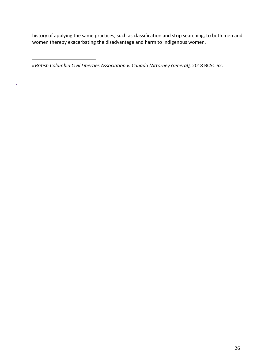history of applying the same practices, such as classification and strip searching, to both men and women thereby exacerbating the disadvantage and harm to Indigenous women.

<sup>8</sup> *British Columbia Civil Liberties Association v. Canada (Attorney General),* 2018 BCSC 62.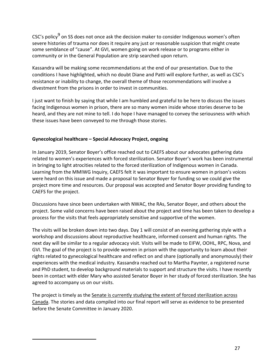CSC's policy<sup>9</sup> on SS does not once ask the decision maker to consider Indigenous women's often severe histories of trauma nor does it require any just or reasonable suspicion that might create some semblance of "cause". At GVI, women going on work release or to programs either in community or in the General Population are strip searched upon return.

Kassandra will be making some recommendations at the end of our presentation. Due to the conditions I have highlighted, which no doubt Diane and Patti will explore further, as well as CSC's resistance or inability to change, the overall theme of those recommendations will involve a divestment from the prisons in order to invest in communities.

I just want to finish by saying that while I am humbled and grateful to be here to discuss the issues facing Indigenous women in prison, there are so many women inside whose stories deserve to be heard, and they are not mine to tell. I do hope I have managed to convey the seriousness with which these issues have been conveyed to me through those stories.

#### **Gynecological healthcare – Special Advocacy Project, ongoing**

In January 2019, Senator Boyer's office reached out to CAEFS about our advocates gathering data related to women's experiences with forced sterilization. Senator Boyer's work has been instrumental in bringing to light atrocities related to the forced sterilization of Indigenous women in Canada. Learning from the MMIWG Inquiry, CAEFS felt it was important to ensure women in prison's voices were heard on this issue and made a proposal to Senator Boyer for funding so we could give the project more time and resources. Our proposal was accepted and Senator Boyer providing funding to CAEFS for the project.

Discussions have since been undertaken with NWAC, the RAs, Senator Boyer, and others about the project. Some valid concerns have been raised about the project and time has been taken to develop a process for the visits that feels appropriately sensitive and supportive of the women.

The visits will be broken down into two days. Day 1 will consist of an evening gathering style with a workshop and discussions about reproductive healthcare, informed consent and human rights. The next day will be similar to a regular advocacy visit. Visits will be made to EIFW, OOHL, RPC, Nova, and GVI. The goal of the project is to provide women in prison with the opportunity to learn about their rights related to gynecological healthcare and reflect on and share (optionally and anonymously) their experiences with the medical industry. Kassandra reached out to Martha Paynter, a registered nurse and PhD student, to develop background materials to support and structure the visits. I have recently been in contact with elder Mary who assisted Senator Boyer in her study of forced sterilization. She has agreed to accompany us on our visits.

The project is timely as the Senate is currently studying the extent of forced sterilization across Canada. The stories and data compiled into our final report will serve as evidence to be presented before the Senate Committee in January 2020.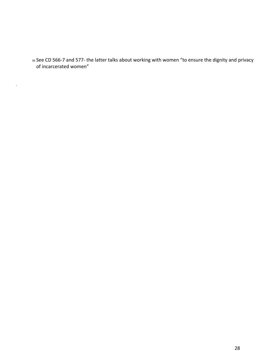<sup>99</sup> See CD 566-7 and 577- the latter talks about working with women "to ensure the dignity and privacy of incarcerated women"

 $\mathbf{v}$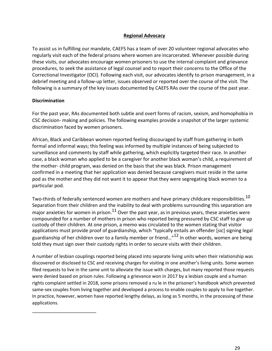#### **Regional Advocacy**

To assist us in fulfilling our mandate, CAEFS has a team of over 20 volunteer regional advocates who regularly visit each of the federal prisons where women are incarcerated. Whenever possible during these visits, our advocates encourage women prisoners to use the internal complaint and grievance procedures, to seek the assistance of legal counsel and to report their concerns to the Office of the Correctional Investigator (OCI). Following each visit, our advocates identify to prison management, in a debrief meeting and a follow-up letter, issues observed or reported over the course of the visit. The following is a summary of the key issues documented by CAEFS RAs over the course of the past year.

#### **Discrimination**

For the past year, RAs documented both subtle and overt forms of racism, sexism, and homophobia in CSC decision- making and policies. The following examples provide a snapshot of the larger systemic discrimination faced by women prisoners.

African, Black and Caribbean women reported feeling discouraged by staff from gathering in both formal and informal ways; this feeling was informed by multiple instances of being subjected to surveillance and comments by staff while gathering, which explicitly targeted their race. In another case, a black woman who applied to be a caregiver for another black woman's child, a requirement of the mother- child program, was denied on the basis that she was black. Prison management confirmed in a meeting that her application was denied because caregivers must reside in the same pod as the mother and they did not want it to appear that they were segregating black women to a particular pod.

Two-thirds of federally sentenced women are mothers and have primary childcare responsibilities.<sup>10</sup> Separation from their children and the inability to deal with problems surrounding this separation are major anxieties for women in prison. $^{11}$  Over the past year, as in previous years, these anxieties were compounded for a number of mothers in prison who reported being pressured by CSC staff to give up custody of their children. At one prison, a memo was circulated to the women stating that visitor applications must provide proof of guardianship, which "typically entails an offender [*sic*] signing legal guardianship of her children over to a family member or friend..."<sup>12</sup> In other words, women are being told they must sign over their custody rights in order to secure visits with their children.

A number of lesbian couplings reported being placed into separate living units when their relationship was discovered or disclosed to CSC and receiving charges for visiting in one another's living units. Some women filed requests to live in the same unit to alleviate the issue with charges, but many reported those requests were denied based on prison rules. Following a grievance won in 2017 by a lesbian couple and a human rights complaint settled in 2018, some prisons removed a ru le in the prisoner's handbook which prevented same-sex couples from living together and developed a process to enable couples to apply to live together. In practice, however, women have reported lengthy delays, as long as 5 months, in the processing of these applications.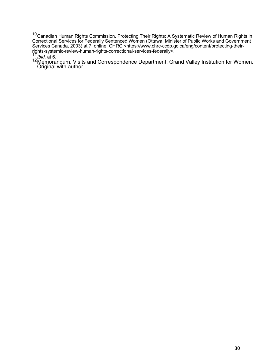$10$ Canadian Human Rights Commission, Protecting Their Rights: A Systematic Review of Human Rights in Correctional Services for Federally Sentenced Women (Ottawa: Minister of Public Works and Government Services Canada, 2003) at 7, online: CHRC <https://www.chrc-ccdp.gc.ca/eng/content/protecting-theirrights-systemic-review-human-rights-correctional-services-federally>.<br><sup>11</sup>*Ibid,* at 6.

<sup>12</sup>Memorandum, Visits and Correspondence Department, Grand Valley Institution for Women. Original with author.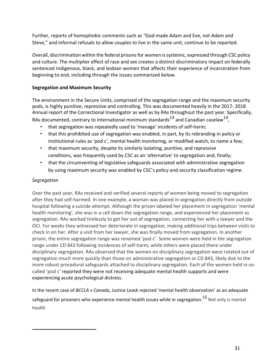Further, reports of homophobic comments such as "God made Adam and Eve, not Adam and Steve," and informal refusals to allow couples to live in the same unit, continue to be reported.

Overall, discrimination within the federal prisons for women is systemic, expressed through CSC policy and culture. The multiplier effect of race and sex creates a distinct discriminatory impact on federally sentenced Indigenous, black, and lesbian women that affects their experience of incarceration from beginning to end, including through the issues summarized below.

#### **Segregation and Maximum Security**

The environment in the Secure Units, comprised of the segregation range and the maximum security pods, is highly punitive, repressive and controlling. This was documented heavily in the 2017- 2018 Annual report of the Correctional Investigator as well as by RAs throughout the past year. Specifically, RAs documented, contrary to international minimum standards<sup>13</sup> and Canadian caselaw<sup>14</sup>,

- that segregation was repeatedly used to 'manage' incidents of self-harm;
- that this prohibited use of segregation was enabled, in part, by its rebranding in policy or institutional rules as 'pod c', mental health monitoring, or modified watch, to name a few;
- that maximum security, despite its similarly isolating, punitive, and repressive conditions, was frequently used by CSC as an 'alternative' to segregation and, finally;
- that the circumventing of legislative safeguards associated with administrative segregation by using maximum security was enabled by CSC's policy and security classification regime.

#### *Segregation*

Over the past year, RAs received and verified several reports of women being moved to segregation after they had self-harmed. In one example, a woman was placed in segregation directly from outside hospital following a suicide attempt. Although the prison labeled her placement in segregation 'mental health monitoring', she was in a cell down the segregation range, and experienced her placement as segregation. RAs worked tirelessly to get her out of segregation, connecting her with a lawyer and the OCI. For weeks they witnessed her deteriorate in segregation, making additional trips between visits to check in on her. After a visit from her lawyer, she was finally moved from segregation. In another prison, the entire segregation range was renamed 'pod c'. Some women were held in the segregation range under CD 843 following incidences of self-harm, while others were placed there under disciplinary segregation. RAs observed that the women on disciplinary segregation were rotated out of segregation much more quickly than those on administrative segregation or CD 843, likely due to the more robust procedural safeguards attached to disciplinary segregation. Each of the women held in socalled 'pod c' reported they were not receiving adequate mental health supports and were experiencing acute psychological distress.

In the recent case of *BCCLA v Canada*, Justice Leask rejected 'mental health observation' as an adequate safeguard for prisoners who experience mental health issues while in segregation.<sup>15</sup> Not only is mental health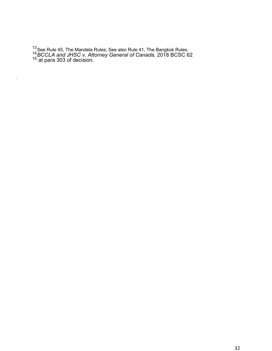<sup>13</sup>See Rule 45, The Mandela Rules; See also Rule 41, The Bangkok Rules.<br><sup>14</sup>*BCCLA and JHSC v. Attorney General of Canada,* 2018 BCSC 62 <sup>15</sup> at para 303 of decision.

 $\tilde{\mathbf{z}}$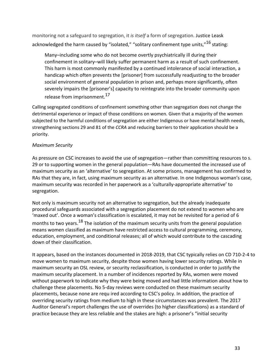monitoring not a safeguard to segregation, it *is itself* a form of segregation. Justice Leask acknowledged the harm caused by "isolated," "solitary confinement type units,"<sup>16</sup> stating:

Many–including some who do not become overtly psychiatrically ill during their confinement in solitary–will likely suffer permanent harm as a result of such confinement. This harm is most commonly manifested by a continued intolerance of social interaction, a handicap which often prevents the [prisoner] from successfully readjusting to the broader social environment of general population in prison and, perhaps more significantly, often severely impairs the [prisoner's] capacity to reintegrate into the broader community upon release from imprisonment.<sup>17</sup>

Calling segregated conditions of confinement something other than segregation does not change the detrimental experience or impact of those conditions on women. Given that a majority of the women subjected to the harmful conditions of segregation are either Indigenous or have mental health needs, strengthening sections 29 and 81 of the *CCRA* and reducing barriers to their application should be a priority.

#### *Maximum Security*

As pressure on CSC increases to avoid the use of segregation—rather than committing resources to s. 29 or to supporting women in the general population—RAs have documented the increased use of maximum security as an 'alternative' to segregation. At some prisons, management has confirmed to RAs that they are, in fact, using maximum security as an alternative. In one Indigenous woman's case, maximum security was recorded in her paperwork as a 'culturally-appropriate alternative' to segregation.

Not only is maximum security not an alternative to segregation, but the already inadequate procedural safeguards associated with a segregation placement do not extend to women who are 'maxed out'. Once a woman's classification is escalated, it may not be revisited for a period of 6 months to two years.<sup>18</sup> The isolation of the maximum security units from the general population means women classified as maximum have restricted access to cultural programming, ceremony, education, employment, and conditional releases; all of which would contribute to the cascading down of their classification.

It appears, based on the instances documented in 2018-2019, that CSC typically relies on CD 710-2-4 to move women to maximum security, despite those women having lower security ratings. While in maximum security an OSL review, or security reclassification, is conducted in order to justify the maximum security placement. In a number of incidences reported by RAs, women were moved without paperwork to indicate why they were being moved and had little information about how to challenge these placements. No 5-day reviews were conducted on these maximum security placements, because none are requ ired according to CSC's policy. In addition, the practice of overriding security ratings from medium to high in these circumstances was prevalent. The 2017 Auditor General's report challenges the use of overrides (to higher classifications) as a standard of practice because they are less reliable and the stakes are high: a prisoner's "initial security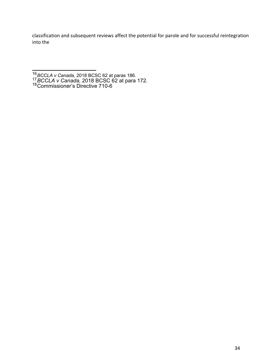classification and subsequent reviews affect the potential for parole and for successful reintegration into the

- <sup>16</sup>*BCCLA v Canada,* 2018 BCSC 62 at paras 186. <sup>17</sup>*BCCLA v Canada,* 2018 BCSC 62 at para 172.
- 18Commissioner's Directive 710-6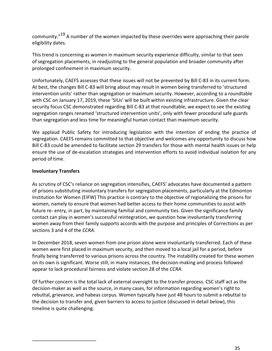community."<sup>19</sup> A number of the women impacted by these overrides were approaching their parole eligibility dates.

This trend is concerning as women in maximum security experience difficulty, similar to that seen of segregation placements, in readjusting to the general population and broader community after prolonged confinement in maximum security.

Unfortunately, CAEFS assesses that these issues will not be prevented by Bill C-83 in its current form. At best, the changes Bill C-83 will bring about may result in women being transferred to 'structured intervention units' rather than segregation or maximum security. However, according to a roundtable with CSC on January 17, 2019, these 'SIUs' will be built within existing infrastructure. Given the clear security focus CSC demonstrated regarding Bill C-83 at that roundtable, we expect to see the existing segregation ranges renamed 'structured intervention units', only with fewer procedural safe guards than segregation and less time for meaningful human contact than maximum security.

We applaud Public Safety for introducing legislation with the intention of ending the practice of segregation. CAEFS remains committed to that objective and welcomes any opportunity to discuss how Bill C-83 could be amended to facilitate section 29 transfers for those with mental health issues or help ensure the use of de-escalation strategies and intervention efforts to avoid individual isolation for any period of time.

#### **Involuntary Transfers**

As scrutiny of CSC's reliance on segregation intensifies, CAEFS' advocates have documented a pattern of prisons substituting involuntary transfers for segregation placements, particularly at the Edmonton Institution for Women (EIFW) This practice is contrary to the objective of regionalizing the prisons for women, namely to ensure that women had better access to their home communities to assist with future re- entry, in part, by maintaining familial and community ties. Given the significance family contact can play in women's successful reintegration, we question how involuntarily transferring women away from their family supports accords with the purpose and principles of Corrections as per sections 3 and 4 of the *CCRA*.

In December 2018, seven women from one prison alone were involuntarily transferred. Each of these women were first placed in maximum security, and then moved to a local jail for a period, before finally being transferred to various prisons across the country. The instability created for these women on its own is significant. Worse still, in many instances, the decision-making and process followed appear to lack procedural fairness and violate section 28 of the *CCRA*.

Of further concern is the total lack of external oversight to the transfer process. CSC staff act as the decision-maker as well as the source, in many cases, for information regarding women's right to rebuttal, grievance, and habeas corpus. Women typically have just 48 hours to submit a rebuttal to the decision to transfer and, given barriers to access to justice (discussed in detail below), this timeline is quite challenging.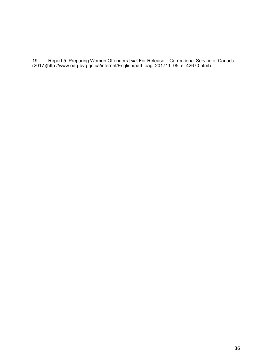Report 5: Preparing Women Offenders [*sic*] For Release – Correctional Service of Canada (2017)(http://www.oag-bvg.gc.ca/internet/English/parl\_oag\_201711\_05\_e\_42670.html)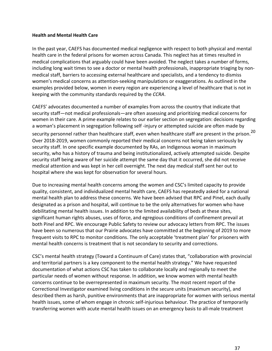#### **Health and Mental Health Care**

In the past year, CAEFS has documented medical negligence with respect to both physical and mental health care in the federal prisons for women across Canada. This neglect has at times resulted in medical complications that arguably could have been avoided. The neglect takes a number of forms, including long wait times to see a doctor or mental health professionals, inappropriate triaging by nonmedical staff, barriers to accessing external healthcare and specialists, and a tendency to dismiss women's medical concerns as attention-seeking manipulations or exaggerations. As outlined in the examples provided below, women in every region are experiencing a level of healthcare that is not in keeping with the community standards required by the *CCRA*.

CAEFS' advocates documented a number of examples from across the country that indicate that security staff—not medical professionals—are often assessing and prioritizing medical concerns for women in their care. A prime example relates to our earlier section on segregation: decisions regarding a woman's placement in segregation following self -injury or attempted suicide are often made by security personnel rather than healthcare staff, even when healthcare staff are present in the prison.<sup>20</sup> Over 2018-2019, women commonly reported their medical concerns not being taken seriously by security staff. In one specific example documented by RAs, an Indigenous woman in maximum security, who has a history of trauma and being institutionalized, actively attempted suicide. Despite security staff being aware of her suicide attempt the same day that it occurred, she did not receive medical attention and was kept in her cell overnight. The next day medical staff sent her out to hospital where she was kept for observation for several hours.

Due to increasing mental health concerns among the women and CSC's limited capacity to provide quality, consistent, and individualized mental health care, CAEFS has repeatedly asked for a national mental health plan to address these concerns. We have been advised that RPC and Pinel, each dually designated as a prison and hospital, will continue to be the only alternatives for women who have debilitating mental health issues. In addition to the limited availability of beds at these sites, significant human rights abuses, uses of force, and egregious conditions of confinement prevail at both Pinel and RPC. We encourage Public Safety to review our advocacy letters from RPC. The issues have been so numerous that our Prairie advocates have committed at the beginning of 2019 to more frequent visits to RPC to monitor conditions. The only acceptable 'treatment plan' for prisoners with mental health concerns is treatment that is not secondary to security and corrections.

CSC's mental health strategy (Toward a Continuum of Care) states that, "collaboration with provincial and territorial partners is a key component to the mental health strategy." We have requested documentation of what actions CSC has taken to collaborate locally and regionally to meet the particular needs of women without response. In addition, we know women with mental health concerns continue to be overrepresented in maximum security. The most recent report of the Correctional Investigator examined living conditions in the secure units (maximum security), and described them as harsh, punitive environments that are inappropriate for women with serious mental health issues, some of whom engage in chronic self-injurious behaviour. The practice of temporarily transferring women with acute mental health issues on an emergency basis to all-male treatment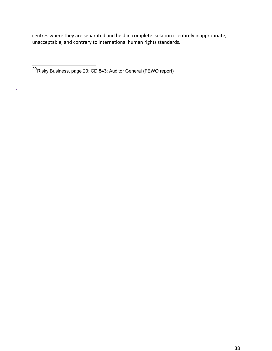centres where they are separated and held in complete isolation is entirely inappropriate, unacceptable, and contrary to international human rights standards.

ú,

<sup>20&</sup>lt;sub>Risky</sub> Business, page 20; CD 843; Auditor General (FEWO report)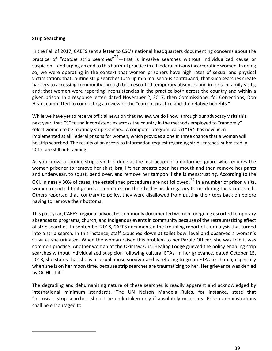#### **Strip Searching**

In the Fall of 2017, CAEFS sent a letter to CSC's national headquarters documenting concerns about the practice of "routine strip searches"<sup>21</sup>—that is invasive searches without individualized cause or suspicion—and urging an end to this harmful practice in all federal prisons incarcerating women. In doing so, we were operating in the context that women prisoners have high rates of sexual and physical victimization; that routine strip searches turn up minimal serious contraband; that such searches create barriers to accessing community through both escorted temporary absences and in- prison family visits, and; that women were reporting inconsistencies in the practice both across the country and within a given prison. In a response letter, dated November 2, 2017, then Commissioner for Corrections, Don Head, committed to conducting a review of the "current practice and the relative benefits."

While we have yet to receive official news on that review, we do know, through our advocacy visits this past year, that CSC found inconsistencies across the country in the methods employed to "randomly" select women to be routinely strip searched. A computer program, called "T9", has now been implemented at all Federal prisons for women, which provides a one in three chance that a woman will be strip searched. The results of an access to information request regarding strip searches, submitted in 2017, are still outstanding.

As you know, a routine strip search is done at the instruction of a uniformed guard who requires the woman prisoner to remove her shirt, bra, lift her breasts open her mouth and then remove her pants and underwear, to squat, bend over, and remove her tampon if she is menstruating. According to the OCI, in nearly 30% of cases, the established procedures are not followed.<sup>22</sup> In a number of prison visits, women reported that guards commented on their bodies in derogatory terms during the strip search. Others reported that, contrary to policy, they were disallowed from putting their tops back on before having to remove their bottoms.

This past year, CAEFS' regional advocates commonly documented women foregoing escorted temporary absences to programs, church, and Indigenous events in community because of the retraumatizing effect of strip searches. In September 2018, CAEFS documented the troubling report of a urinalysis that turned into a strip search. In this instance, staff crouched down at toilet bowl level and observed a woman's vulva as she urinated. When the woman raised this problem to her Parole Officer, she was told it was common practice. Another woman at the Okimaw Ohci Healing Lodge grieved the policy enabling strip searches without individualized suspicion following cultural ETAs. In her grievance, dated October 15, 2018, she states that she is a sexual abuse survivor and is refusing to go on ETAs to church, especially when she is on her moon time, because strip searches are traumatizing to her. Her grievance was denied by OOHL staff.

The degrading and dehumanizing nature of these searches is readily apparent and acknowledged by international minimum standards. The UN Nelson Mandela Rules, for instance, state that "intrusive…strip searches, should be undertaken only if absolutely necessary. Prison administrations shall be encouraged to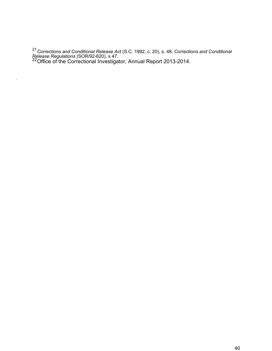<sup>21</sup>*Corrections and Conditional Release Act* (S.C. 1992, c. 20), s. 48; *Corrections and Conditional Release Regulations* (SOR/92-620), s 47.<br><sup>22</sup>Office of the Correctional Investigator, Annual Report 2013-2014.

 $\tilde{\mathbf{z}}$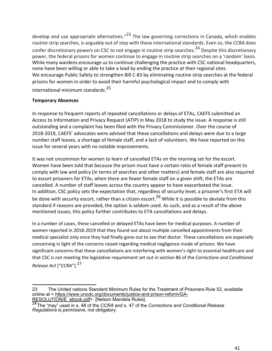develop and use appropriate alternatives."<sup>23</sup> The law governing corrections in Canada, which enables *routine* strip searches, is arguably out of step with these international standards. Even so, the *CCRA* does confer discretionary powers on CSC to not engage in routine strip searches.<sup>24</sup> Despite this discretionary power, the federal prisons for women continue to engage in routine strip searches on a 'random' basis. While many wardens encourage us to continue challenging the practice with CSC national headquarters, none have been willing or able to take a lead by ending the practice at their regional sites. We encourage Public Safety to strengthen Bill C-83 by eliminating routine strip searches at the federal prisons for women in order to avoid their harmful psychological impact and to comply with international minimum standards.<sup>25</sup>

#### **Temporary Absences**

In response to frequent reports of repeated cancellations or delays of ETAs, CAEFS submitted an Access to Information and Privacy Request (ATIP) in May 2018 to study the issue. A response is still outstanding and a complaint has been filed with the Privacy Commissioner. Over the course of 2018-2019, CAEFS' advocates were advised that these cancellations and delays were due to a large number staff leaves, a shortage of female staff, and a lack of volunteers. We have reported on this issue for several years with no notable improvements.

It was not uncommon for women to learn of cancelled ETAs on the morning set for the escort. Women have been told that because the prison must have a certain ratio of female staff present to comply with law and policy (in terms of searches and other matters) and female staff are also required to escort prisoners for ETAs, when there are fewer female staff on a given shift, the ETAs are cancelled. A number of staff leaves across the country appear to have exacerbated the issue. In addition, CSC policy sets the expectation that, regardless of security level, a prisoner's first ETA will be done with security escort, rather than a citizen escort.<sup>26</sup> While it is possible to deviate from this standard if reasons are provided, the option is seldom used. As such, and as a result of the above mentioned issues, this policy further contributes to ETA cancellations and delays.

In a number of cases, these cancelled or delayed ETAs have been for medical purposes. A number of women reported in 2018-2019 that they found out about multiple cancelled appointments from their medical specialist only once they had finally gone out to see that doctor. These cancellations are especially concerning in light of the concerns raised regarding medical negligence inside of prisons. We have significant concerns that these cancellations are interfering with women's right to essential healthcare and that CSC is not meeting the legislative requirement set out in section 86 of the *Corrections and Conditional Release Act* ["*CCRA*"].<sup>27</sup>

<sup>23</sup> The United nations Standard Minimum Rules for the Treatment of Prisoners Rule 52, available online at < https://www.unodc.org/documents/justice-and-prison-reform/GA-RESOLUTION/E ebook.pdf>. [Nelson Mandela Rules].

<sup>&</sup>lt;sup>24</sup>The "may" used in s. 48 of the *CCRA* and s. 47 of the *Corrections and Conditional Release Regulations* is *permissive*, not obligatory.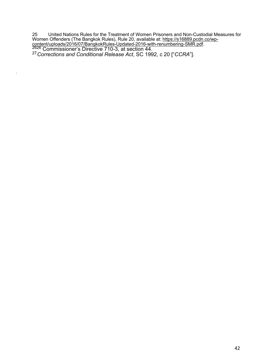25 United Nations Rules for the Treatment of Women Prisoners and Non-Custodial Measures for Women Offenders (The Bangkok Rules), Rule 20, available at: <u>https://s16889.pcdn.co/wp-</u> content/uploads/2016/07/BangkokRules-Updated-2016-with-renumbering-SMR.pdf.<br><sup>2626</sup> Commissioner's Directive 710-3, at section 44.<br><sup>27</sup> Corrections and Conditional Release Act, SC 1992, c 20 ["*CCRA*"].

k,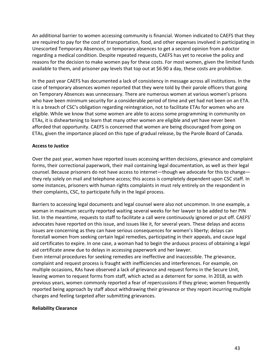An additional barrier to women accessing community is financial. Women indicated to CAEFS that they are required to pay for the cost of transportation, food, and other expenses involved in participating in Unescorted Temporary Absences, or temporary absences to get a second opinion from a doctor regarding a medical condition. Despite repeated requests, CAEFS has yet to receive the policy and reasons for the decision to make women pay for these costs. For most women, given the limited funds available to them, and prisoner pay levels that top out at \$6.90 a day, these costs are prohibitive.

In the past year CAEFS has documented a lack of consistency in message across all institutions. In the case of temporary absences women reported that they were told by their parole officers that going on Temporary Absences was unnecessary. There are numerous women at various women's prisons who have been minimum security for a considerable period of time and yet had not been on an ETA. It is a breach of CSC's obligation regarding reintegration, not to facilitate ETAs for women who are eligible. While we know that some women are able to access some programming in community on ETAs, it is disheartening to learn that many other women are eligible and yet have never been afforded that opportunity. CAEFS is concerned that women are being discouraged from going on ETAs, given the importance placed on this type of gradual release, by the Parole Board of Canada.

#### **Access to Justice**

Over the past year, women have reported issues accessing written decisions, grievance and complaint forms, their correctional paperwork, their mail containing legal documentation, as well as their legal counsel. Because prisoners do not have access to internet—though we advocate for this to change they rely solely on mail and telephone access; this access is completely dependent upon CSC staff. In some instances, prisoners with human rights complaints in must rely entirely on the respondent in their complaints, CSC, to participate fully in the legal process.

Barriers to accessing legal documents and legal counsel were also not uncommon. In one example, a woman in maximum security reported waiting several weeks for her lawyer to be added to her PIN list. In the meantime, requests to staff to facilitate a call were continuously ignored or put off. CAEFS' advocates have reported on this issue, and issues like it, for several years. These delays and access issues are concerning as they can have serious consequences for women's liberty; delays can forestall women from seeking certain legal remedies, participating in their appeals, and cause legal aid certificates to expire. In one case, a woman had to begin the arduous process of obtaining a legal aid certificate anew due to delays in accessing paperwork and her lawyer.

Even internal procedures for seeking remedies are ineffective and inaccessible. The grievance, complaint and request process is fraught with inefficiencies and interferences. For example, on multiple occasions, RAs have observed a lack of grievance and request forms in the Secure Unit, leaving women to request forms from staff, which acted as a deterrent for some. In 2018, as with previous years, women commonly reported a fear of repercussions if they grieve; women frequently reported being approach by staff about withdrawing their grievance or they report incurring multiple charges and feeling targeted after submitting grievances.

#### **Reliability Clearance**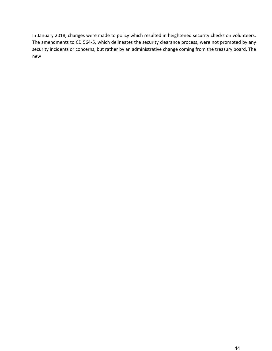In January 2018, changes were made to policy which resulted in heightened security checks on volunteers. The amendments to CD 564-5, which delineates the security clearance process, were not prompted by any security incidents or concerns, but rather by an administrative change coming from the treasury board. The new